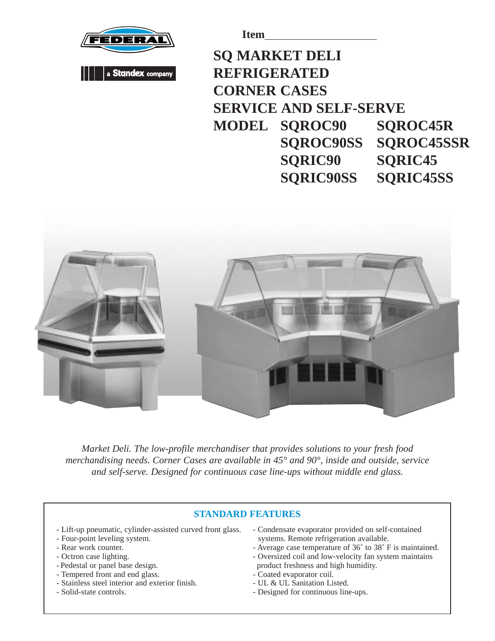



**Item**

## **SQ MARKET DELI REFRIGERATED CORNER CASES SERVICE AND SELF-SERVE MODEL SQROC90 SQROC45R SQROC90SS SQROC45SSR SQRIC90 SQRIC45 SQRIC90SS SQRIC45SS**



*Market Deli. The low-profile merchandiser that provides solutions to your fresh food merchandising needs. Corner Cases are available in 45° and 90°, inside and outside, service and self-serve. Designed for continuous case line-ups without middle end glass.*

## **STANDARD FEATURES**

- Lift-up pneumatic, cylinder-assisted curved front glass.
- Four-point leveling system.
- Rear work counter.
- Octron case lighting.
- Pedestal or panel base design.
- Tempered front and end glass.
- Stainless steel interior and exterior finish.
- Solid-state controls.
- Condensate evaporator provided on self-contained systems. Remote refrigeration available.
- Average case temperature of 36˚ to 38˚ F is maintained.
- Oversized coil and low-velocity fan system maintains product freshness and high humidity.
- Coated evaporator coil.
- UL & UL Sanitation Listed.
- Designed for continuous line-ups.